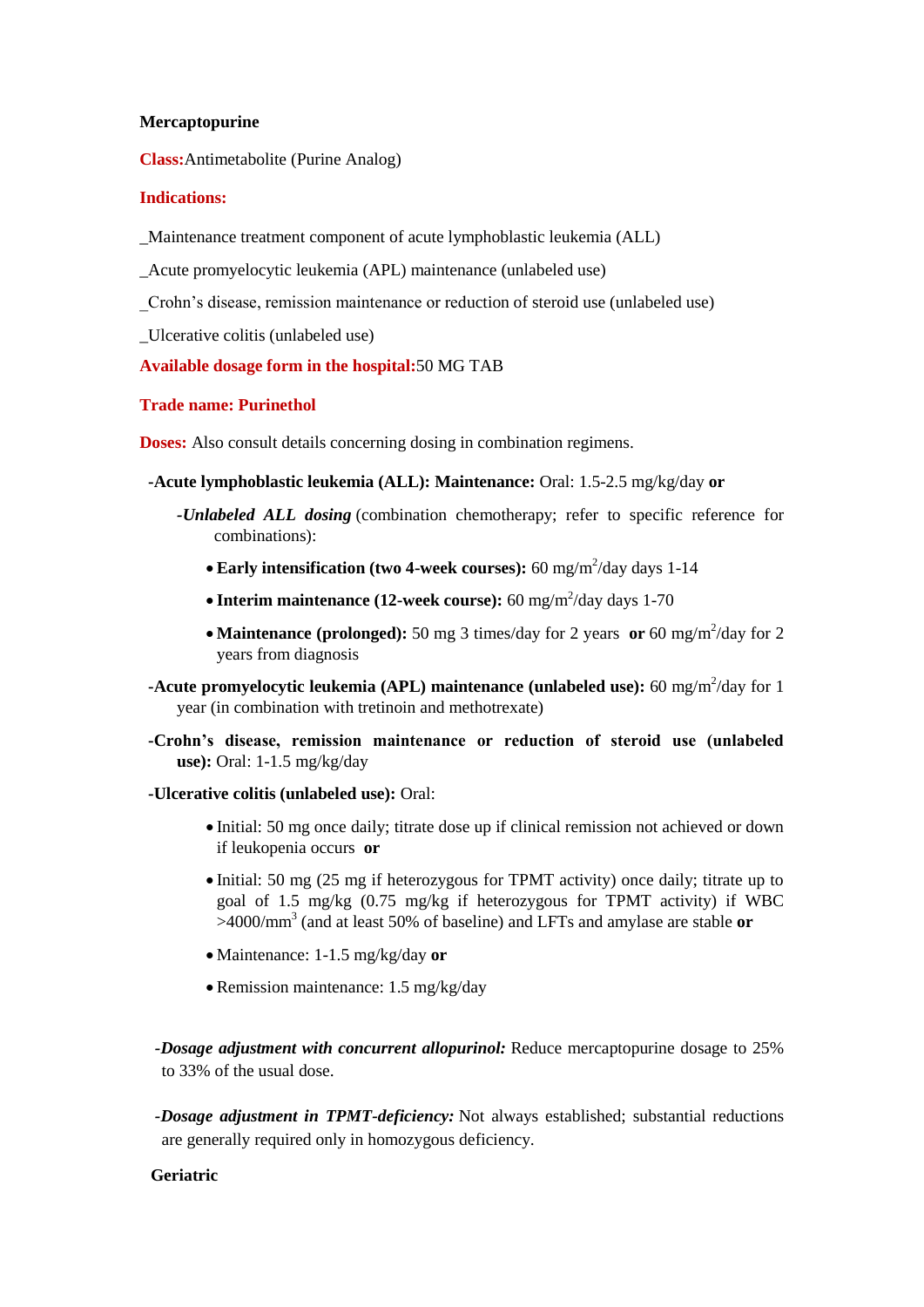## **Mercaptopurine**

**Class:**Antimetabolite (Purine Analog)

## **Indications:**

\_Maintenance treatment component of acute lymphoblastic leukemia (ALL)

\_Acute promyelocytic leukemia (APL) maintenance (unlabeled use)

\_Crohn's disease, remission maintenance or reduction of steroid use (unlabeled use)

\_Ulcerative colitis (unlabeled use)

# **Available dosage form in the hospital:**50 MG TAB

## **Trade name: Purinethol**

**Doses:** Also consult details concerning dosing in combination regimens.

- **-Acute lymphoblastic leukemia (ALL): Maintenance:** Oral: 1.5-2.5 mg/kg/day **or**
	- *-Unlabeled ALL dosing* (combination chemotherapy; refer to specific reference for combinations):
		- Early intensification (two 4-week courses): 60 mg/m<sup>2</sup>/day days 1-14
		- Interim maintenance (12-week course): 60 mg/m<sup>2</sup>/day days 1-70
		- **Maintenance (prolonged):** 50 mg 3 times/day for 2 years **or** 60 mg/m<sup>2</sup>/day for 2 years from diagnosis
- **-Acute promyelocytic leukemia (APL) maintenance (unlabeled use):** 60 mg/m<sup>2</sup>/day for 1 year (in combination with tretinoin and methotrexate)
- **-Crohn's disease, remission maintenance or reduction of steroid use (unlabeled use):** Oral: 1-1.5 mg/kg/day

## **-Ulcerative colitis (unlabeled use):** Oral:

- Initial: 50 mg once daily; titrate dose up if clinical remission not achieved or down if leukopenia occurs **or**
- Initial: 50 mg (25 mg if heterozygous for TPMT activity) once daily; titrate up to goal of 1.5 mg/kg (0.75 mg/kg if heterozygous for TPMT activity) if WBC >4000/mm<sup>3</sup> (and at least 50% of baseline) and LFTs and amylase are stable **or**
- Maintenance: 1-1.5 mg/kg/day **or**
- Remission maintenance: 1.5 mg/kg/day

*-Dosage adjustment with concurrent allopurinol:* Reduce mercaptopurine dosage to 25% to 33% of the usual dose.

*-Dosage adjustment in TPMT-deficiency:* Not always established; substantial reductions are generally required only in homozygous deficiency.

# **Geriatric**